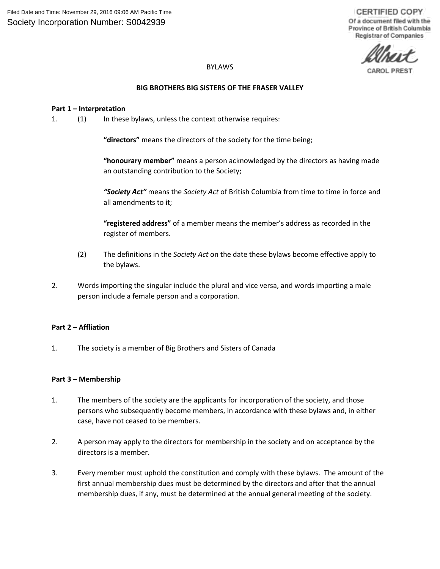# BYLAWS

# **BIG BROTHERS BIG SISTERS OF THE FRASER VALLEY**

# **Part 1 – Interpretation**

1. (1) In these bylaws, unless the context otherwise requires:

**"directors"** means the directors of the society for the time being;

**"honourary member"** means a person acknowledged by the directors as having made an outstanding contribution to the Society;

*"Society Act"* means the *Society Act* of British Columbia from time to time in force and all amendments to it;

**"registered address"** of a member means the member's address as recorded in the register of members.

- (2) The definitions in the *Society Act* on the date these bylaws become effective apply to the bylaws.
- 2. Words importing the singular include the plural and vice versa, and words importing a male person include a female person and a corporation.

## **Part 2 – Affliation**

1. The society is a member of Big Brothers and Sisters of Canada

## **Part 3 – Membership**

- 1. The members of the society are the applicants for incorporation of the society, and those persons who subsequently become members, in accordance with these bylaws and, in either case, have not ceased to be members.
- 2. A person may apply to the directors for membership in the society and on acceptance by the directors is a member.
- 3. Every member must uphold the constitution and comply with these bylaws. The amount of the first annual membership dues must be determined by the directors and after that the annual membership dues, if any, must be determined at the annual general meeting of the society.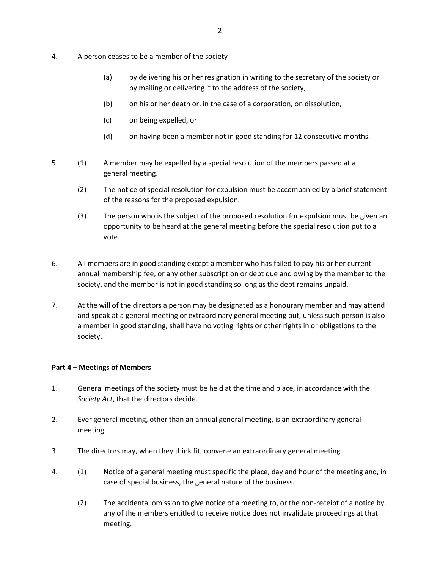- 4. A person ceases to be a member of the society
	- (a) by delivering his or her resignation in writing to the secretary of the society or by mailing or delivering it to the address of the society,
	- (b) on his or her death or, in the case of a corporation, on dissolution,
	- (c) on being expelled, or
	- (d) on having been a member not in good standing for 12 consecutive months.
- 5. (1) A member may be expelled by a special resolution of the members passed at a general meeting.
	- (2) The notice of special resolution for expulsion must be accompanied by a brief statement of the reasons for the proposed expulsion.
	- (3) The person who is the subject of the proposed resolution for expulsion must be given an opportunity to be heard at the general meeting before the special resolution put to a vote.
- 6. All members are in good standing except a member who has failed to pay his or her current annual membership fee, or any other subscription or debt due and owing by the member to the society, and the member is not in good standing so long as the debt remains unpaid.
- 7. At the will of the directors a person may be designated as a honourary member and may attend and speak at a general meeting or extraordinary general meeting but, unless such person is also a member in good standing, shall have no voting rights or other rights in or obligations to the society.

## **Part 4 – Meetings of Members**

- 1. General meetings of the society must be held at the time and place, in accordance with the *Society Act*, that the directors decide.
- 2. Ever general meeting, other than an annual general meeting, is an extraordinary general meeting.
- 3. The directors may, when they think fit, convene an extraordinary general meeting.
- 4. (1) Notice of a general meeting must specific the place, day and hour of the meeting and, in case of special business, the general nature of the business.
	- (2) The accidental omission to give notice of a meeting to, or the non-receipt of a notice by, any of the members entitled to receive notice does not invalidate proceedings at that meeting.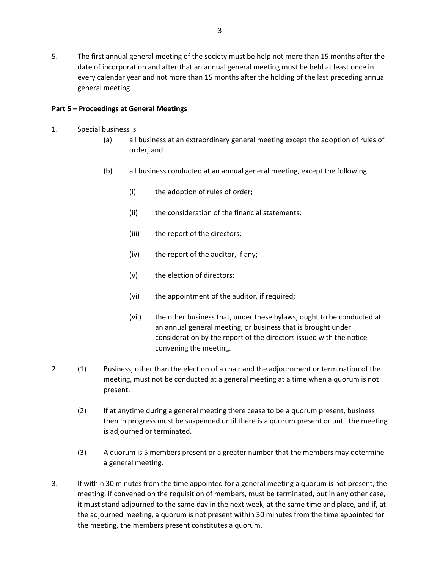5. The first annual general meeting of the society must be help not more than 15 months after the date of incorporation and after that an annual general meeting must be held at least once in every calendar year and not more than 15 months after the holding of the last preceding annual general meeting.

# **Part 5 – Proceedings at General Meetings**

- 1. Special business is
	- (a) all business at an extraordinary general meeting except the adoption of rules of order, and
	- (b) all business conducted at an annual general meeting, except the following:
		- (i) the adoption of rules of order;
		- (ii) the consideration of the financial statements;
		- (iii) the report of the directors;
		- (iv) the report of the auditor, if any;
		- (v) the election of directors;
		- (vi) the appointment of the auditor, if required;
		- (vii) the other business that, under these bylaws, ought to be conducted at an annual general meeting, or business that is brought under consideration by the report of the directors issued with the notice convening the meeting.
- 2. (1) Business, other than the election of a chair and the adjournment or termination of the meeting, must not be conducted at a general meeting at a time when a quorum is not present.
	- (2) If at anytime during a general meeting there cease to be a quorum present, business then in progress must be suspended until there is a quorum present or until the meeting is adjourned or terminated.
	- (3) A quorum is 5 members present or a greater number that the members may determine a general meeting.
- 3. If within 30 minutes from the time appointed for a general meeting a quorum is not present, the meeting, if convened on the requisition of members, must be terminated, but in any other case, it must stand adjourned to the same day in the next week, at the same time and place, and if, at the adjourned meeting, a quorum is not present within 30 minutes from the time appointed for the meeting, the members present constitutes a quorum.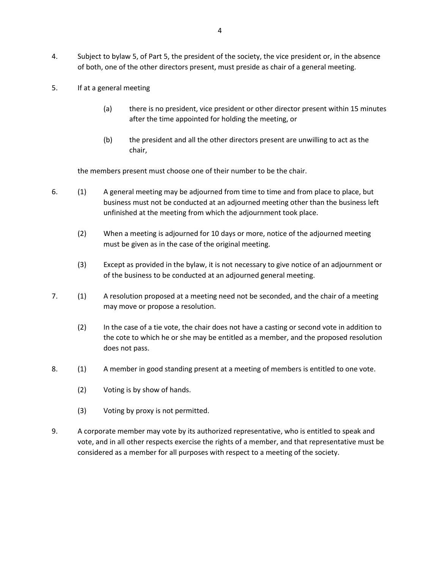- 4. Subject to bylaw 5, of Part 5, the president of the society, the vice president or, in the absence of both, one of the other directors present, must preside as chair of a general meeting.
- 5. If at a general meeting
	- (a) there is no president, vice president or other director present within 15 minutes after the time appointed for holding the meeting, or
	- (b) the president and all the other directors present are unwilling to act as the chair,

the members present must choose one of their number to be the chair.

- 6. (1) A general meeting may be adjourned from time to time and from place to place, but business must not be conducted at an adjourned meeting other than the business left unfinished at the meeting from which the adjournment took place.
	- (2) When a meeting is adjourned for 10 days or more, notice of the adjourned meeting must be given as in the case of the original meeting.
	- (3) Except as provided in the bylaw, it is not necessary to give notice of an adjournment or of the business to be conducted at an adjourned general meeting.
- 7. (1) A resolution proposed at a meeting need not be seconded, and the chair of a meeting may move or propose a resolution.
	- (2) In the case of a tie vote, the chair does not have a casting or second vote in addition to the cote to which he or she may be entitled as a member, and the proposed resolution does not pass.
- 8. (1) A member in good standing present at a meeting of members is entitled to one vote.
	- (2) Voting is by show of hands.
	- (3) Voting by proxy is not permitted.
- 9. A corporate member may vote by its authorized representative, who is entitled to speak and vote, and in all other respects exercise the rights of a member, and that representative must be considered as a member for all purposes with respect to a meeting of the society.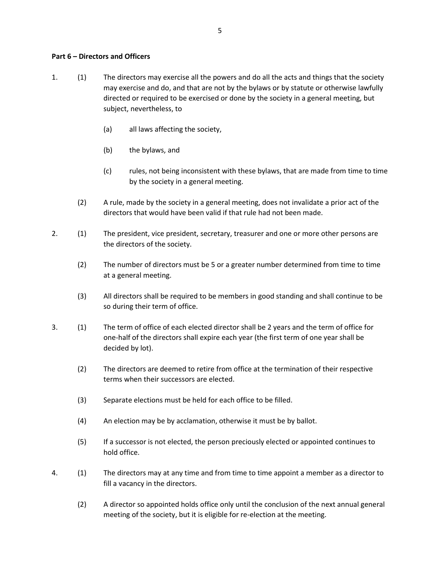#### **Part 6 – Directors and Officers**

- 1. (1) The directors may exercise all the powers and do all the acts and things that the society may exercise and do, and that are not by the bylaws or by statute or otherwise lawfully directed or required to be exercised or done by the society in a general meeting, but subject, nevertheless, to
	- (a) all laws affecting the society,
	- (b) the bylaws, and
	- (c) rules, not being inconsistent with these bylaws, that are made from time to time by the society in a general meeting.
	- (2) A rule, made by the society in a general meeting, does not invalidate a prior act of the directors that would have been valid if that rule had not been made.
- 2. (1) The president, vice president, secretary, treasurer and one or more other persons are the directors of the society.
	- (2) The number of directors must be 5 or a greater number determined from time to time at a general meeting.
	- (3) All directors shall be required to be members in good standing and shall continue to be so during their term of office.
- 3. (1) The term of office of each elected director shall be 2 years and the term of office for one-half of the directors shall expire each year (the first term of one year shall be decided by lot).
	- (2) The directors are deemed to retire from office at the termination of their respective terms when their successors are elected.
	- (3) Separate elections must be held for each office to be filled.
	- (4) An election may be by acclamation, otherwise it must be by ballot.
	- (5) If a successor is not elected, the person preciously elected or appointed continues to hold office.
- 4. (1) The directors may at any time and from time to time appoint a member as a director to fill a vacancy in the directors.
	- (2) A director so appointed holds office only until the conclusion of the next annual general meeting of the society, but it is eligible for re-election at the meeting.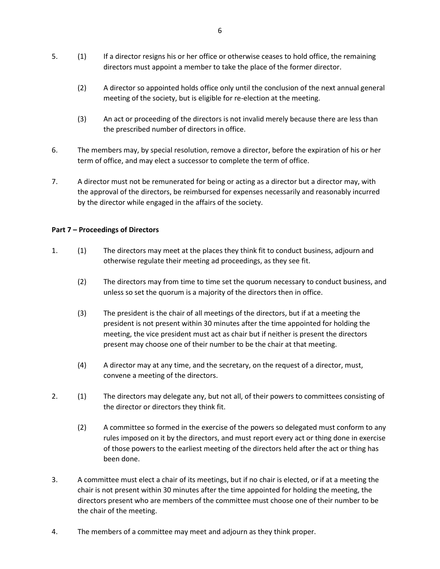- 5. (1) If a director resigns his or her office or otherwise ceases to hold office, the remaining directors must appoint a member to take the place of the former director.
	- (2) A director so appointed holds office only until the conclusion of the next annual general meeting of the society, but is eligible for re-election at the meeting.
	- (3) An act or proceeding of the directors is not invalid merely because there are less than the prescribed number of directors in office.
- 6. The members may, by special resolution, remove a director, before the expiration of his or her term of office, and may elect a successor to complete the term of office.
- 7. A director must not be remunerated for being or acting as a director but a director may, with the approval of the directors, be reimbursed for expenses necessarily and reasonably incurred by the director while engaged in the affairs of the society.

# **Part 7 – Proceedings of Directors**

- 1. (1) The directors may meet at the places they think fit to conduct business, adjourn and otherwise regulate their meeting ad proceedings, as they see fit.
	- (2) The directors may from time to time set the quorum necessary to conduct business, and unless so set the quorum is a majority of the directors then in office.
	- (3) The president is the chair of all meetings of the directors, but if at a meeting the president is not present within 30 minutes after the time appointed for holding the meeting, the vice president must act as chair but if neither is present the directors present may choose one of their number to be the chair at that meeting.
	- (4) A director may at any time, and the secretary, on the request of a director, must, convene a meeting of the directors.
- 2. (1) The directors may delegate any, but not all, of their powers to committees consisting of the director or directors they think fit.
	- (2) A committee so formed in the exercise of the powers so delegated must conform to any rules imposed on it by the directors, and must report every act or thing done in exercise of those powers to the earliest meeting of the directors held after the act or thing has been done.
- 3. A committee must elect a chair of its meetings, but if no chair is elected, or if at a meeting the chair is not present within 30 minutes after the time appointed for holding the meeting, the directors present who are members of the committee must choose one of their number to be the chair of the meeting.
- 4. The members of a committee may meet and adjourn as they think proper.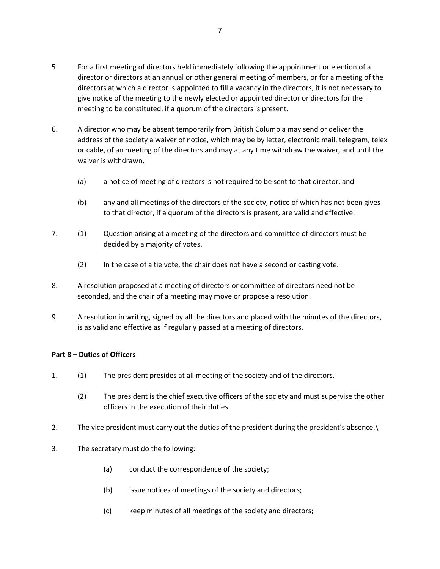- 5. For a first meeting of directors held immediately following the appointment or election of a director or directors at an annual or other general meeting of members, or for a meeting of the directors at which a director is appointed to fill a vacancy in the directors, it is not necessary to give notice of the meeting to the newly elected or appointed director or directors for the meeting to be constituted, if a quorum of the directors is present.
- 6. A director who may be absent temporarily from British Columbia may send or deliver the address of the society a waiver of notice, which may be by letter, electronic mail, telegram, telex or cable, of an meeting of the directors and may at any time withdraw the waiver, and until the waiver is withdrawn,
	- (a) a notice of meeting of directors is not required to be sent to that director, and
	- (b) any and all meetings of the directors of the society, notice of which has not been gives to that director, if a quorum of the directors is present, are valid and effective.
- 7. (1) Question arising at a meeting of the directors and committee of directors must be decided by a majority of votes.
	- (2) In the case of a tie vote, the chair does not have a second or casting vote.
- 8. A resolution proposed at a meeting of directors or committee of directors need not be seconded, and the chair of a meeting may move or propose a resolution.
- 9. A resolution in writing, signed by all the directors and placed with the minutes of the directors, is as valid and effective as if regularly passed at a meeting of directors.

## **Part 8 – Duties of Officers**

- 1. (1) The president presides at all meeting of the society and of the directors.
	- (2) The president is the chief executive officers of the society and must supervise the other officers in the execution of their duties.
- 2. The vice president must carry out the duties of the president during the president's absence.\
- 3. The secretary must do the following:
	- (a) conduct the correspondence of the society;
	- (b) issue notices of meetings of the society and directors;
	- (c) keep minutes of all meetings of the society and directors;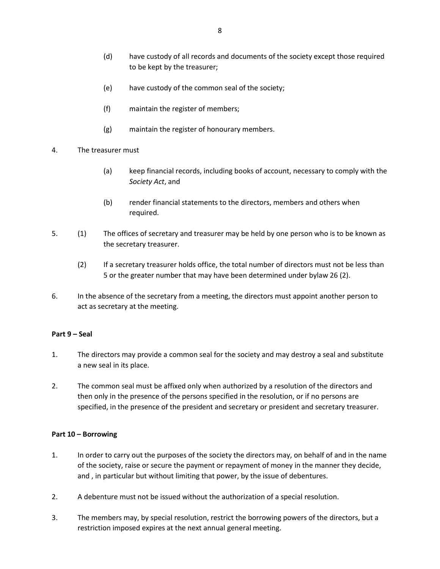- (d) have custody of all records and documents of the society except those required to be kept by the treasurer;
- (e) have custody of the common seal of the society;
- (f) maintain the register of members;
- (g) maintain the register of honourary members.
- 4. The treasurer must
	- (a) keep financial records, including books of account, necessary to comply with the *Society Act*, and
	- (b) render financial statements to the directors, members and others when required.
- 5. (1) The offices of secretary and treasurer may be held by one person who is to be known as the secretary treasurer.
	- (2) If a secretary treasurer holds office, the total number of directors must not be less than 5 or the greater number that may have been determined under bylaw 26 (2).
- 6. In the absence of the secretary from a meeting, the directors must appoint another person to act as secretary at the meeting.

## **Part 9 – Seal**

- 1. The directors may provide a common seal for the society and may destroy a seal and substitute a new seal in its place.
- 2. The common seal must be affixed only when authorized by a resolution of the directors and then only in the presence of the persons specified in the resolution, or if no persons are specified, in the presence of the president and secretary or president and secretary treasurer.

## **Part 10 – Borrowing**

- 1. In order to carry out the purposes of the society the directors may, on behalf of and in the name of the society, raise or secure the payment or repayment of money in the manner they decide, and , in particular but without limiting that power, by the issue of debentures.
- 2. A debenture must not be issued without the authorization of a special resolution.
- 3. The members may, by special resolution, restrict the borrowing powers of the directors, but a restriction imposed expires at the next annual general meeting.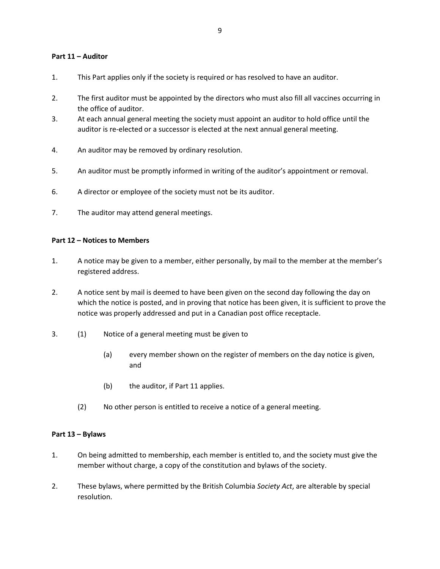### **Part 11 – Auditor**

- 1. This Part applies only if the society is required or has resolved to have an auditor.
- 2. The first auditor must be appointed by the directors who must also fill all vaccines occurring in the office of auditor.
- 3. At each annual general meeting the society must appoint an auditor to hold office until the auditor is re-elected or a successor is elected at the next annual general meeting.
- 4. An auditor may be removed by ordinary resolution.
- 5. An auditor must be promptly informed in writing of the auditor's appointment or removal.
- 6. A director or employee of the society must not be its auditor.
- 7. The auditor may attend general meetings.

## **Part 12 – Notices to Members**

- 1. A notice may be given to a member, either personally, by mail to the member at the member's registered address.
- 2. A notice sent by mail is deemed to have been given on the second day following the day on which the notice is posted, and in proving that notice has been given, it is sufficient to prove the notice was properly addressed and put in a Canadian post office receptacle.
- 3. (1) Notice of a general meeting must be given to
	- (a) every member shown on the register of members on the day notice is given, and
	- (b) the auditor, if Part 11 applies.
	- (2) No other person is entitled to receive a notice of a general meeting.

## **Part 13 – Bylaws**

- 1. On being admitted to membership, each member is entitled to, and the society must give the member without charge, a copy of the constitution and bylaws of the society.
- 2. These bylaws, where permitted by the British Columbia *Society Act*, are alterable by special resolution.